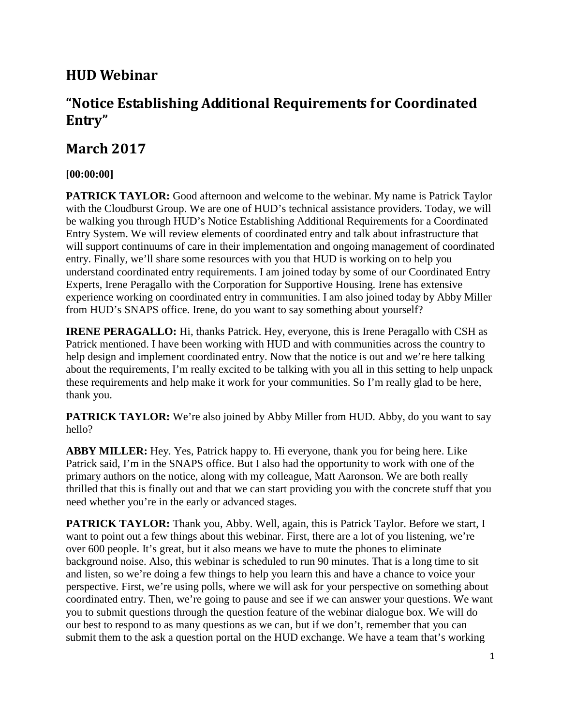# **HUD Webinar**

# **"Notice Establishing Additional Requirements for Coordinated Entry"**

## **March 2017**

### **[00:00:00]**

**PATRICK TAYLOR:** Good afternoon and welcome to the webinar. My name is Patrick Taylor with the Cloudburst Group. We are one of HUD's technical assistance providers. Today, we will be walking you through HUD's Notice Establishing Additional Requirements for a Coordinated Entry System. We will review elements of coordinated entry and talk about infrastructure that will support continuums of care in their implementation and ongoing management of coordinated entry. Finally, we'll share some resources with you that HUD is working on to help you understand coordinated entry requirements. I am joined today by some of our Coordinated Entry Experts, Irene Peragallo with the Corporation for Supportive Housing. Irene has extensive experience working on coordinated entry in communities. I am also joined today by Abby Miller from HUD's SNAPS office. Irene, do you want to say something about yourself?

**IRENE PERAGALLO:** Hi, thanks Patrick. Hey, everyone, this is Irene Peragallo with CSH as Patrick mentioned. I have been working with HUD and with communities across the country to help design and implement coordinated entry. Now that the notice is out and we're here talking about the requirements, I'm really excited to be talking with you all in this setting to help unpack these requirements and help make it work for your communities. So I'm really glad to be here, thank you.

**PATRICK TAYLOR:** We're also joined by Abby Miller from HUD. Abby, do you want to say hello?

**ABBY MILLER:** Hey. Yes, Patrick happy to. Hi everyone, thank you for being here. Like Patrick said, I'm in the SNAPS office. But I also had the opportunity to work with one of the primary authors on the notice, along with my colleague, Matt Aaronson. We are both really thrilled that this is finally out and that we can start providing you with the concrete stuff that you need whether you're in the early or advanced stages.

**PATRICK TAYLOR:** Thank you, Abby. Well, again, this is Patrick Taylor. Before we start, I want to point out a few things about this webinar. First, there are a lot of you listening, we're over 600 people. It's great, but it also means we have to mute the phones to eliminate background noise. Also, this webinar is scheduled to run 90 minutes. That is a long time to sit and listen, so we're doing a few things to help you learn this and have a chance to voice your perspective. First, we're using polls, where we will ask for your perspective on something about coordinated entry. Then, we're going to pause and see if we can answer your questions. We want you to submit questions through the question feature of the webinar dialogue box. We will do our best to respond to as many questions as we can, but if we don't, remember that you can submit them to the ask a question portal on the HUD exchange. We have a team that's working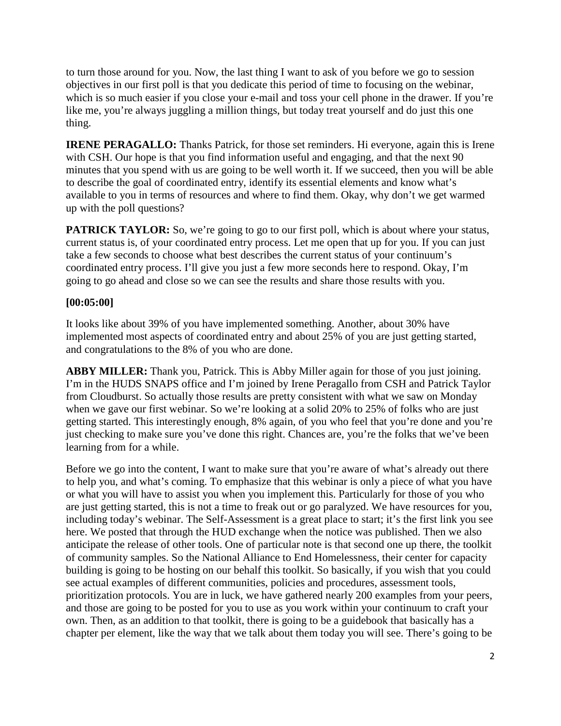to turn those around for you. Now, the last thing I want to ask of you before we go to session objectives in our first poll is that you dedicate this period of time to focusing on the webinar, which is so much easier if you close your e-mail and toss your cell phone in the drawer. If you're like me, you're always juggling a million things, but today treat yourself and do just this one thing.

**IRENE PERAGALLO:** Thanks Patrick, for those set reminders. Hi everyone, again this is Irene with CSH. Our hope is that you find information useful and engaging, and that the next 90 minutes that you spend with us are going to be well worth it. If we succeed, then you will be able to describe the goal of coordinated entry, identify its essential elements and know what's available to you in terms of resources and where to find them. Okay, why don't we get warmed up with the poll questions?

**PATRICK TAYLOR:** So, we're going to go to our first poll, which is about where your status, current status is, of your coordinated entry process. Let me open that up for you. If you can just take a few seconds to choose what best describes the current status of your continuum's coordinated entry process. I'll give you just a few more seconds here to respond. Okay, I'm going to go ahead and close so we can see the results and share those results with you.

#### **[00:05:00]**

It looks like about 39% of you have implemented something. Another, about 30% have implemented most aspects of coordinated entry and about 25% of you are just getting started, and congratulations to the 8% of you who are done.

**ABBY MILLER:** Thank you, Patrick. This is Abby Miller again for those of you just joining. I'm in the HUDS SNAPS office and I'm joined by Irene Peragallo from CSH and Patrick Taylor from Cloudburst. So actually those results are pretty consistent with what we saw on Monday when we gave our first webinar. So we're looking at a solid 20% to 25% of folks who are just getting started. This interestingly enough, 8% again, of you who feel that you're done and you're just checking to make sure you've done this right. Chances are, you're the folks that we've been learning from for a while.

Before we go into the content, I want to make sure that you're aware of what's already out there to help you, and what's coming. To emphasize that this webinar is only a piece of what you have or what you will have to assist you when you implement this. Particularly for those of you who are just getting started, this is not a time to freak out or go paralyzed. We have resources for you, including today's webinar. The Self-Assessment is a great place to start; it's the first link you see here. We posted that through the HUD exchange when the notice was published. Then we also anticipate the release of other tools. One of particular note is that second one up there, the toolkit of community samples. So the National Alliance to End Homelessness, their center for capacity building is going to be hosting on our behalf this toolkit. So basically, if you wish that you could see actual examples of different communities, policies and procedures, assessment tools, prioritization protocols. You are in luck, we have gathered nearly 200 examples from your peers, and those are going to be posted for you to use as you work within your continuum to craft your own. Then, as an addition to that toolkit, there is going to be a guidebook that basically has a chapter per element, like the way that we talk about them today you will see. There's going to be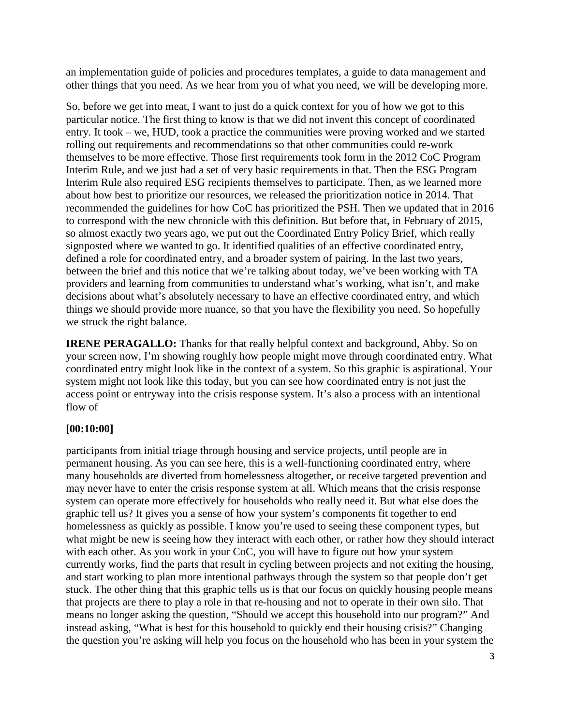an implementation guide of policies and procedures templates, a guide to data management and other things that you need. As we hear from you of what you need, we will be developing more.

So, before we get into meat, I want to just do a quick context for you of how we got to this particular notice. The first thing to know is that we did not invent this concept of coordinated entry. It took – we, HUD, took a practice the communities were proving worked and we started rolling out requirements and recommendations so that other communities could re-work themselves to be more effective. Those first requirements took form in the 2012 CoC Program Interim Rule, and we just had a set of very basic requirements in that. Then the ESG Program Interim Rule also required ESG recipients themselves to participate. Then, as we learned more about how best to prioritize our resources, we released the prioritization notice in 2014. That recommended the guidelines for how CoC has prioritized the PSH. Then we updated that in 2016 to correspond with the new chronicle with this definition. But before that, in February of 2015, so almost exactly two years ago, we put out the Coordinated Entry Policy Brief, which really signposted where we wanted to go. It identified qualities of an effective coordinated entry, defined a role for coordinated entry, and a broader system of pairing. In the last two years, between the brief and this notice that we're talking about today, we've been working with TA providers and learning from communities to understand what's working, what isn't, and make decisions about what's absolutely necessary to have an effective coordinated entry, and which things we should provide more nuance, so that you have the flexibility you need. So hopefully we struck the right balance.

**IRENE PERAGALLO:** Thanks for that really helpful context and background, Abby. So on your screen now, I'm showing roughly how people might move through coordinated entry. What coordinated entry might look like in the context of a system. So this graphic is aspirational. Your system might not look like this today, but you can see how coordinated entry is not just the access point or entryway into the crisis response system. It's also a process with an intentional flow of

#### **[00:10:00]**

participants from initial triage through housing and service projects, until people are in permanent housing. As you can see here, this is a well-functioning coordinated entry, where many households are diverted from homelessness altogether, or receive targeted prevention and may never have to enter the crisis response system at all. Which means that the crisis response system can operate more effectively for households who really need it. But what else does the graphic tell us? It gives you a sense of how your system's components fit together to end homelessness as quickly as possible. I know you're used to seeing these component types, but what might be new is seeing how they interact with each other, or rather how they should interact with each other. As you work in your CoC, you will have to figure out how your system currently works, find the parts that result in cycling between projects and not exiting the housing, and start working to plan more intentional pathways through the system so that people don't get stuck. The other thing that this graphic tells us is that our focus on quickly housing people means that projects are there to play a role in that re-housing and not to operate in their own silo. That means no longer asking the question, "Should we accept this household into our program?" And instead asking, "What is best for this household to quickly end their housing crisis?" Changing the question you're asking will help you focus on the household who has been in your system the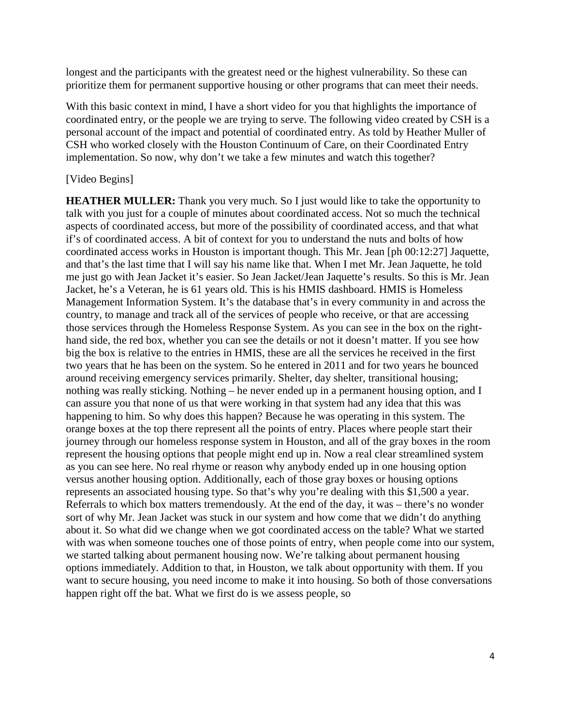longest and the participants with the greatest need or the highest vulnerability. So these can prioritize them for permanent supportive housing or other programs that can meet their needs.

With this basic context in mind, I have a short video for you that highlights the importance of coordinated entry, or the people we are trying to serve. The following video created by CSH is a personal account of the impact and potential of coordinated entry. As told by Heather Muller of CSH who worked closely with the Houston Continuum of Care, on their Coordinated Entry implementation. So now, why don't we take a few minutes and watch this together?

#### [Video Begins]

**HEATHER MULLER:** Thank you very much. So I just would like to take the opportunity to talk with you just for a couple of minutes about coordinated access. Not so much the technical aspects of coordinated access, but more of the possibility of coordinated access, and that what if's of coordinated access. A bit of context for you to understand the nuts and bolts of how coordinated access works in Houston is important though. This Mr. Jean [ph 00:12:27] Jaquette, and that's the last time that I will say his name like that. When I met Mr. Jean Jaquette, he told me just go with Jean Jacket it's easier. So Jean Jacket/Jean Jaquette's results. So this is Mr. Jean Jacket, he's a Veteran, he is 61 years old. This is his HMIS dashboard. HMIS is Homeless Management Information System. It's the database that's in every community in and across the country, to manage and track all of the services of people who receive, or that are accessing those services through the Homeless Response System. As you can see in the box on the righthand side, the red box, whether you can see the details or not it doesn't matter. If you see how big the box is relative to the entries in HMIS, these are all the services he received in the first two years that he has been on the system. So he entered in 2011 and for two years he bounced around receiving emergency services primarily. Shelter, day shelter, transitional housing; nothing was really sticking. Nothing – he never ended up in a permanent housing option, and I can assure you that none of us that were working in that system had any idea that this was happening to him. So why does this happen? Because he was operating in this system. The orange boxes at the top there represent all the points of entry. Places where people start their journey through our homeless response system in Houston, and all of the gray boxes in the room represent the housing options that people might end up in. Now a real clear streamlined system as you can see here. No real rhyme or reason why anybody ended up in one housing option versus another housing option. Additionally, each of those gray boxes or housing options represents an associated housing type. So that's why you're dealing with this \$1,500 a year. Referrals to which box matters tremendously. At the end of the day, it was – there's no wonder sort of why Mr. Jean Jacket was stuck in our system and how come that we didn't do anything about it. So what did we change when we got coordinated access on the table? What we started with was when someone touches one of those points of entry, when people come into our system, we started talking about permanent housing now. We're talking about permanent housing options immediately. Addition to that, in Houston, we talk about opportunity with them. If you want to secure housing, you need income to make it into housing. So both of those conversations happen right off the bat. What we first do is we assess people, so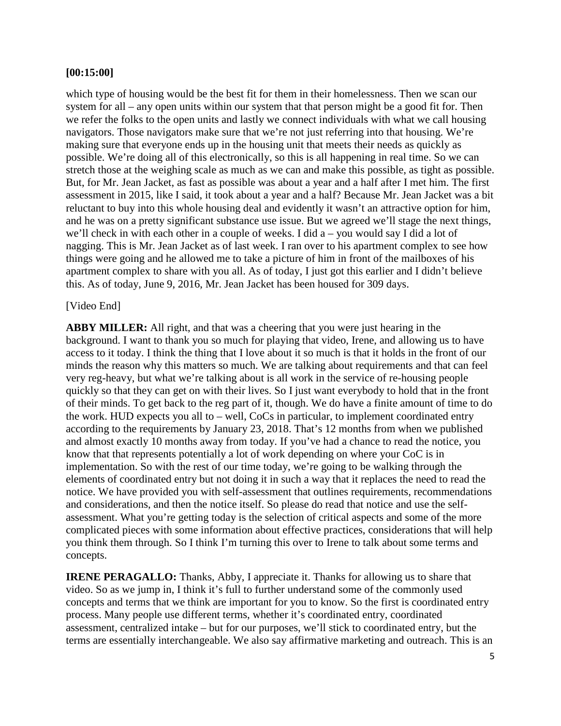#### **[00:15:00]**

which type of housing would be the best fit for them in their homelessness. Then we scan our system for all – any open units within our system that that person might be a good fit for. Then we refer the folks to the open units and lastly we connect individuals with what we call housing navigators. Those navigators make sure that we're not just referring into that housing. We're making sure that everyone ends up in the housing unit that meets their needs as quickly as possible. We're doing all of this electronically, so this is all happening in real time. So we can stretch those at the weighing scale as much as we can and make this possible, as tight as possible. But, for Mr. Jean Jacket, as fast as possible was about a year and a half after I met him. The first assessment in 2015, like I said, it took about a year and a half? Because Mr. Jean Jacket was a bit reluctant to buy into this whole housing deal and evidently it wasn't an attractive option for him, and he was on a pretty significant substance use issue. But we agreed we'll stage the next things, we'll check in with each other in a couple of weeks. I did a – you would say I did a lot of nagging. This is Mr. Jean Jacket as of last week. I ran over to his apartment complex to see how things were going and he allowed me to take a picture of him in front of the mailboxes of his apartment complex to share with you all. As of today, I just got this earlier and I didn't believe this. As of today, June 9, 2016, Mr. Jean Jacket has been housed for 309 days.

#### [Video End]

**ABBY MILLER:** All right, and that was a cheering that you were just hearing in the background. I want to thank you so much for playing that video, Irene, and allowing us to have access to it today. I think the thing that I love about it so much is that it holds in the front of our minds the reason why this matters so much. We are talking about requirements and that can feel very reg-heavy, but what we're talking about is all work in the service of re-housing people quickly so that they can get on with their lives. So I just want everybody to hold that in the front of their minds. To get back to the reg part of it, though. We do have a finite amount of time to do the work. HUD expects you all to – well, CoCs in particular, to implement coordinated entry according to the requirements by January 23, 2018. That's 12 months from when we published and almost exactly 10 months away from today. If you've had a chance to read the notice, you know that that represents potentially a lot of work depending on where your CoC is in implementation. So with the rest of our time today, we're going to be walking through the elements of coordinated entry but not doing it in such a way that it replaces the need to read the notice. We have provided you with self-assessment that outlines requirements, recommendations and considerations, and then the notice itself. So please do read that notice and use the selfassessment. What you're getting today is the selection of critical aspects and some of the more complicated pieces with some information about effective practices, considerations that will help you think them through. So I think I'm turning this over to Irene to talk about some terms and concepts.

**IRENE PERAGALLO:** Thanks, Abby, I appreciate it. Thanks for allowing us to share that video. So as we jump in, I think it's full to further understand some of the commonly used concepts and terms that we think are important for you to know. So the first is coordinated entry process. Many people use different terms, whether it's coordinated entry, coordinated assessment, centralized intake – but for our purposes, we'll stick to coordinated entry, but the terms are essentially interchangeable. We also say affirmative marketing and outreach. This is an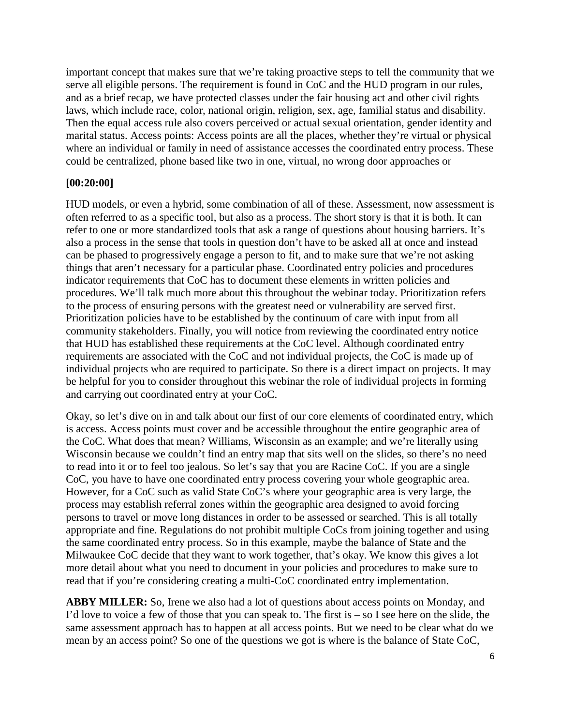important concept that makes sure that we're taking proactive steps to tell the community that we serve all eligible persons. The requirement is found in CoC and the HUD program in our rules, and as a brief recap, we have protected classes under the fair housing act and other civil rights laws, which include race, color, national origin, religion, sex, age, familial status and disability. Then the equal access rule also covers perceived or actual sexual orientation, gender identity and marital status. Access points: Access points are all the places, whether they're virtual or physical where an individual or family in need of assistance accesses the coordinated entry process. These could be centralized, phone based like two in one, virtual, no wrong door approaches or

#### **[00:20:00]**

HUD models, or even a hybrid, some combination of all of these. Assessment, now assessment is often referred to as a specific tool, but also as a process. The short story is that it is both. It can refer to one or more standardized tools that ask a range of questions about housing barriers. It's also a process in the sense that tools in question don't have to be asked all at once and instead can be phased to progressively engage a person to fit, and to make sure that we're not asking things that aren't necessary for a particular phase. Coordinated entry policies and procedures indicator requirements that CoC has to document these elements in written policies and procedures. We'll talk much more about this throughout the webinar today. Prioritization refers to the process of ensuring persons with the greatest need or vulnerability are served first. Prioritization policies have to be established by the continuum of care with input from all community stakeholders. Finally, you will notice from reviewing the coordinated entry notice that HUD has established these requirements at the CoC level. Although coordinated entry requirements are associated with the CoC and not individual projects, the CoC is made up of individual projects who are required to participate. So there is a direct impact on projects. It may be helpful for you to consider throughout this webinar the role of individual projects in forming and carrying out coordinated entry at your CoC.

Okay, so let's dive on in and talk about our first of our core elements of coordinated entry, which is access. Access points must cover and be accessible throughout the entire geographic area of the CoC. What does that mean? Williams, Wisconsin as an example; and we're literally using Wisconsin because we couldn't find an entry map that sits well on the slides, so there's no need to read into it or to feel too jealous. So let's say that you are Racine CoC. If you are a single CoC, you have to have one coordinated entry process covering your whole geographic area. However, for a CoC such as valid State CoC's where your geographic area is very large, the process may establish referral zones within the geographic area designed to avoid forcing persons to travel or move long distances in order to be assessed or searched. This is all totally appropriate and fine. Regulations do not prohibit multiple CoCs from joining together and using the same coordinated entry process. So in this example, maybe the balance of State and the Milwaukee CoC decide that they want to work together, that's okay. We know this gives a lot more detail about what you need to document in your policies and procedures to make sure to read that if you're considering creating a multi-CoC coordinated entry implementation.

**ABBY MILLER:** So, Irene we also had a lot of questions about access points on Monday, and I'd love to voice a few of those that you can speak to. The first is  $-$  so I see here on the slide, the same assessment approach has to happen at all access points. But we need to be clear what do we mean by an access point? So one of the questions we got is where is the balance of State CoC,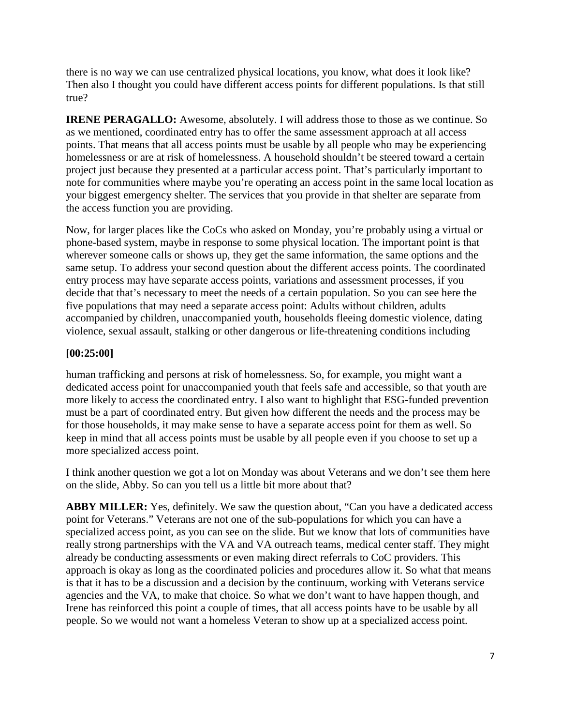there is no way we can use centralized physical locations, you know, what does it look like? Then also I thought you could have different access points for different populations. Is that still true?

**IRENE PERAGALLO:** Awesome, absolutely. I will address those to those as we continue. So as we mentioned, coordinated entry has to offer the same assessment approach at all access points. That means that all access points must be usable by all people who may be experiencing homelessness or are at risk of homelessness. A household shouldn't be steered toward a certain project just because they presented at a particular access point. That's particularly important to note for communities where maybe you're operating an access point in the same local location as your biggest emergency shelter. The services that you provide in that shelter are separate from the access function you are providing.

Now, for larger places like the CoCs who asked on Monday, you're probably using a virtual or phone-based system, maybe in response to some physical location. The important point is that wherever someone calls or shows up, they get the same information, the same options and the same setup. To address your second question about the different access points. The coordinated entry process may have separate access points, variations and assessment processes, if you decide that that's necessary to meet the needs of a certain population. So you can see here the five populations that may need a separate access point: Adults without children, adults accompanied by children, unaccompanied youth, households fleeing domestic violence, dating violence, sexual assault, stalking or other dangerous or life-threatening conditions including

#### **[00:25:00]**

human trafficking and persons at risk of homelessness. So, for example, you might want a dedicated access point for unaccompanied youth that feels safe and accessible, so that youth are more likely to access the coordinated entry. I also want to highlight that ESG-funded prevention must be a part of coordinated entry. But given how different the needs and the process may be for those households, it may make sense to have a separate access point for them as well. So keep in mind that all access points must be usable by all people even if you choose to set up a more specialized access point.

I think another question we got a lot on Monday was about Veterans and we don't see them here on the slide, Abby. So can you tell us a little bit more about that?

**ABBY MILLER:** Yes, definitely. We saw the question about, "Can you have a dedicated access point for Veterans." Veterans are not one of the sub-populations for which you can have a specialized access point, as you can see on the slide. But we know that lots of communities have really strong partnerships with the VA and VA outreach teams, medical center staff. They might already be conducting assessments or even making direct referrals to CoC providers. This approach is okay as long as the coordinated policies and procedures allow it. So what that means is that it has to be a discussion and a decision by the continuum, working with Veterans service agencies and the VA, to make that choice. So what we don't want to have happen though, and Irene has reinforced this point a couple of times, that all access points have to be usable by all people. So we would not want a homeless Veteran to show up at a specialized access point.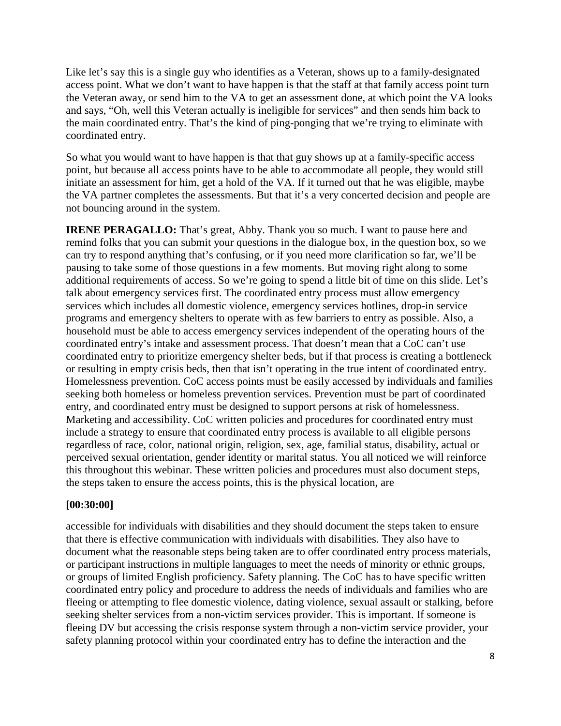Like let's say this is a single guy who identifies as a Veteran, shows up to a family-designated access point. What we don't want to have happen is that the staff at that family access point turn the Veteran away, or send him to the VA to get an assessment done, at which point the VA looks and says, "Oh, well this Veteran actually is ineligible for services" and then sends him back to the main coordinated entry. That's the kind of ping-ponging that we're trying to eliminate with coordinated entry.

So what you would want to have happen is that that guy shows up at a family-specific access point, but because all access points have to be able to accommodate all people, they would still initiate an assessment for him, get a hold of the VA. If it turned out that he was eligible, maybe the VA partner completes the assessments. But that it's a very concerted decision and people are not bouncing around in the system.

**IRENE PERAGALLO:** That's great, Abby. Thank you so much. I want to pause here and remind folks that you can submit your questions in the dialogue box, in the question box, so we can try to respond anything that's confusing, or if you need more clarification so far, we'll be pausing to take some of those questions in a few moments. But moving right along to some additional requirements of access. So we're going to spend a little bit of time on this slide. Let's talk about emergency services first. The coordinated entry process must allow emergency services which includes all domestic violence, emergency services hotlines, drop-in service programs and emergency shelters to operate with as few barriers to entry as possible. Also, a household must be able to access emergency services independent of the operating hours of the coordinated entry's intake and assessment process. That doesn't mean that a CoC can't use coordinated entry to prioritize emergency shelter beds, but if that process is creating a bottleneck or resulting in empty crisis beds, then that isn't operating in the true intent of coordinated entry. Homelessness prevention. CoC access points must be easily accessed by individuals and families seeking both homeless or homeless prevention services. Prevention must be part of coordinated entry, and coordinated entry must be designed to support persons at risk of homelessness. Marketing and accessibility. CoC written policies and procedures for coordinated entry must include a strategy to ensure that coordinated entry process is available to all eligible persons regardless of race, color, national origin, religion, sex, age, familial status, disability, actual or perceived sexual orientation, gender identity or marital status. You all noticed we will reinforce this throughout this webinar. These written policies and procedures must also document steps, the steps taken to ensure the access points, this is the physical location, are

#### **[00:30:00]**

accessible for individuals with disabilities and they should document the steps taken to ensure that there is effective communication with individuals with disabilities. They also have to document what the reasonable steps being taken are to offer coordinated entry process materials, or participant instructions in multiple languages to meet the needs of minority or ethnic groups, or groups of limited English proficiency. Safety planning. The CoC has to have specific written coordinated entry policy and procedure to address the needs of individuals and families who are fleeing or attempting to flee domestic violence, dating violence, sexual assault or stalking, before seeking shelter services from a non-victim services provider. This is important. If someone is fleeing DV but accessing the crisis response system through a non-victim service provider, your safety planning protocol within your coordinated entry has to define the interaction and the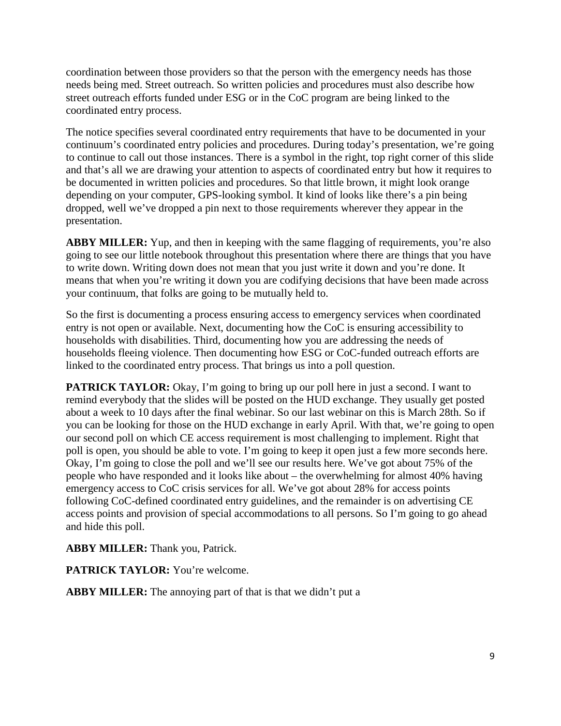coordination between those providers so that the person with the emergency needs has those needs being med. Street outreach. So written policies and procedures must also describe how street outreach efforts funded under ESG or in the CoC program are being linked to the coordinated entry process.

The notice specifies several coordinated entry requirements that have to be documented in your continuum's coordinated entry policies and procedures. During today's presentation, we're going to continue to call out those instances. There is a symbol in the right, top right corner of this slide and that's all we are drawing your attention to aspects of coordinated entry but how it requires to be documented in written policies and procedures. So that little brown, it might look orange depending on your computer, GPS-looking symbol. It kind of looks like there's a pin being dropped, well we've dropped a pin next to those requirements wherever they appear in the presentation.

**ABBY MILLER:** Yup, and then in keeping with the same flagging of requirements, you're also going to see our little notebook throughout this presentation where there are things that you have to write down. Writing down does not mean that you just write it down and you're done. It means that when you're writing it down you are codifying decisions that have been made across your continuum, that folks are going to be mutually held to.

So the first is documenting a process ensuring access to emergency services when coordinated entry is not open or available. Next, documenting how the CoC is ensuring accessibility to households with disabilities. Third, documenting how you are addressing the needs of households fleeing violence. Then documenting how ESG or CoC-funded outreach efforts are linked to the coordinated entry process. That brings us into a poll question.

**PATRICK TAYLOR:** Okay, I'm going to bring up our poll here in just a second. I want to remind everybody that the slides will be posted on the HUD exchange. They usually get posted about a week to 10 days after the final webinar. So our last webinar on this is March 28th. So if you can be looking for those on the HUD exchange in early April. With that, we're going to open our second poll on which CE access requirement is most challenging to implement. Right that poll is open, you should be able to vote. I'm going to keep it open just a few more seconds here. Okay, I'm going to close the poll and we'll see our results here. We've got about 75% of the people who have responded and it looks like about – the overwhelming for almost 40% having emergency access to CoC crisis services for all. We've got about 28% for access points following CoC-defined coordinated entry guidelines, and the remainder is on advertising CE access points and provision of special accommodations to all persons. So I'm going to go ahead and hide this poll.

**ABBY MILLER:** Thank you, Patrick.

**PATRICK TAYLOR:** You're welcome.

**ABBY MILLER:** The annoying part of that is that we didn't put a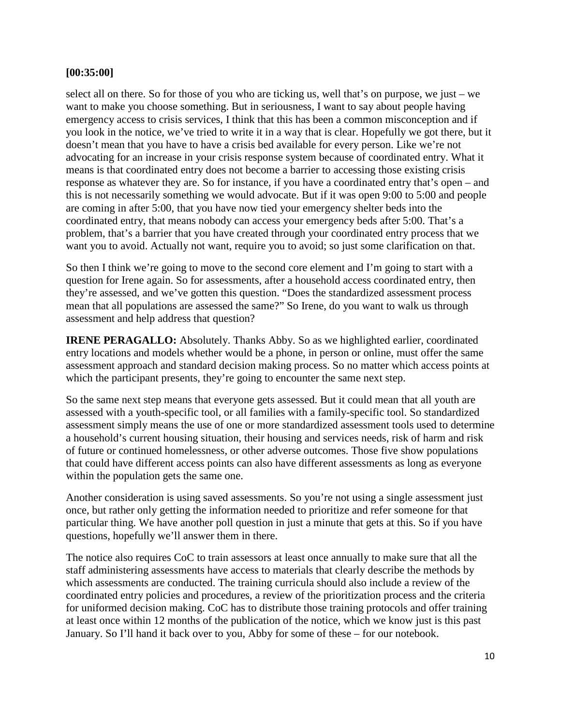#### **[00:35:00]**

select all on there. So for those of you who are ticking us, well that's on purpose, we just – we want to make you choose something. But in seriousness, I want to say about people having emergency access to crisis services, I think that this has been a common misconception and if you look in the notice, we've tried to write it in a way that is clear. Hopefully we got there, but it doesn't mean that you have to have a crisis bed available for every person. Like we're not advocating for an increase in your crisis response system because of coordinated entry. What it means is that coordinated entry does not become a barrier to accessing those existing crisis response as whatever they are. So for instance, if you have a coordinated entry that's open – and this is not necessarily something we would advocate. But if it was open 9:00 to 5:00 and people are coming in after 5:00, that you have now tied your emergency shelter beds into the coordinated entry, that means nobody can access your emergency beds after 5:00. That's a problem, that's a barrier that you have created through your coordinated entry process that we want you to avoid. Actually not want, require you to avoid; so just some clarification on that.

So then I think we're going to move to the second core element and I'm going to start with a question for Irene again. So for assessments, after a household access coordinated entry, then they're assessed, and we've gotten this question. "Does the standardized assessment process mean that all populations are assessed the same?" So Irene, do you want to walk us through assessment and help address that question?

**IRENE PERAGALLO:** Absolutely. Thanks Abby. So as we highlighted earlier, coordinated entry locations and models whether would be a phone, in person or online, must offer the same assessment approach and standard decision making process. So no matter which access points at which the participant presents, they're going to encounter the same next step.

So the same next step means that everyone gets assessed. But it could mean that all youth are assessed with a youth-specific tool, or all families with a family-specific tool. So standardized assessment simply means the use of one or more standardized assessment tools used to determine a household's current housing situation, their housing and services needs, risk of harm and risk of future or continued homelessness, or other adverse outcomes. Those five show populations that could have different access points can also have different assessments as long as everyone within the population gets the same one.

Another consideration is using saved assessments. So you're not using a single assessment just once, but rather only getting the information needed to prioritize and refer someone for that particular thing. We have another poll question in just a minute that gets at this. So if you have questions, hopefully we'll answer them in there.

The notice also requires CoC to train assessors at least once annually to make sure that all the staff administering assessments have access to materials that clearly describe the methods by which assessments are conducted. The training curricula should also include a review of the coordinated entry policies and procedures, a review of the prioritization process and the criteria for uniformed decision making. CoC has to distribute those training protocols and offer training at least once within 12 months of the publication of the notice, which we know just is this past January. So I'll hand it back over to you, Abby for some of these – for our notebook.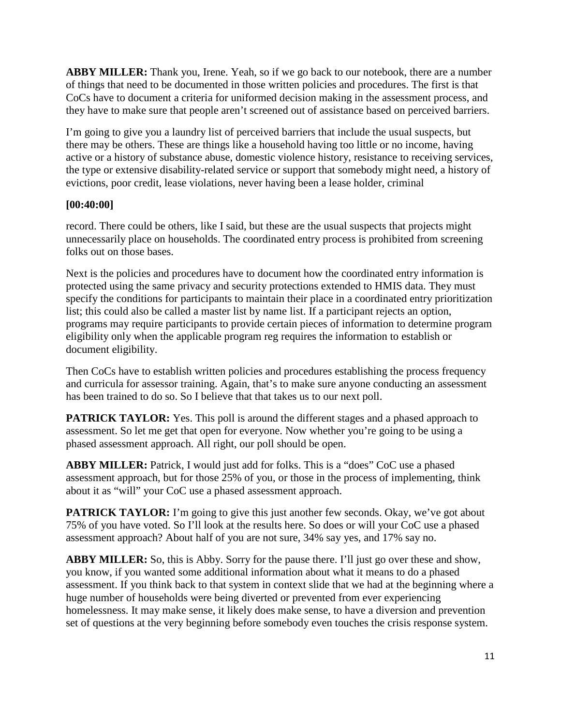**ABBY MILLER:** Thank you, Irene. Yeah, so if we go back to our notebook, there are a number of things that need to be documented in those written policies and procedures. The first is that CoCs have to document a criteria for uniformed decision making in the assessment process, and they have to make sure that people aren't screened out of assistance based on perceived barriers.

I'm going to give you a laundry list of perceived barriers that include the usual suspects, but there may be others. These are things like a household having too little or no income, having active or a history of substance abuse, domestic violence history, resistance to receiving services, the type or extensive disability-related service or support that somebody might need, a history of evictions, poor credit, lease violations, never having been a lease holder, criminal

#### **[00:40:00]**

record. There could be others, like I said, but these are the usual suspects that projects might unnecessarily place on households. The coordinated entry process is prohibited from screening folks out on those bases.

Next is the policies and procedures have to document how the coordinated entry information is protected using the same privacy and security protections extended to HMIS data. They must specify the conditions for participants to maintain their place in a coordinated entry prioritization list; this could also be called a master list by name list. If a participant rejects an option, programs may require participants to provide certain pieces of information to determine program eligibility only when the applicable program reg requires the information to establish or document eligibility.

Then CoCs have to establish written policies and procedures establishing the process frequency and curricula for assessor training. Again, that's to make sure anyone conducting an assessment has been trained to do so. So I believe that that takes us to our next poll.

**PATRICK TAYLOR:** Yes. This poll is around the different stages and a phased approach to assessment. So let me get that open for everyone. Now whether you're going to be using a phased assessment approach. All right, our poll should be open.

**ABBY MILLER:** Patrick, I would just add for folks. This is a "does" CoC use a phased assessment approach, but for those 25% of you, or those in the process of implementing, think about it as "will" your CoC use a phased assessment approach.

**PATRICK TAYLOR:** I'm going to give this just another few seconds. Okay, we've got about 75% of you have voted. So I'll look at the results here. So does or will your CoC use a phased assessment approach? About half of you are not sure, 34% say yes, and 17% say no.

**ABBY MILLER:** So, this is Abby. Sorry for the pause there. I'll just go over these and show, you know, if you wanted some additional information about what it means to do a phased assessment. If you think back to that system in context slide that we had at the beginning where a huge number of households were being diverted or prevented from ever experiencing homelessness. It may make sense, it likely does make sense, to have a diversion and prevention set of questions at the very beginning before somebody even touches the crisis response system.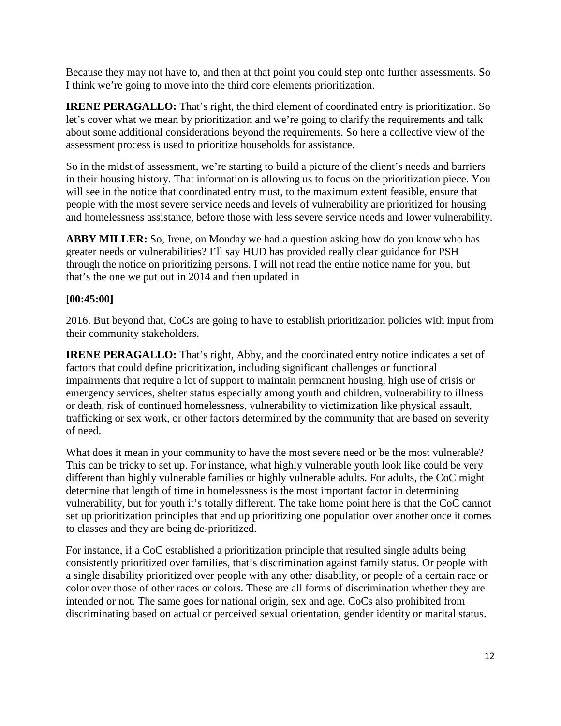Because they may not have to, and then at that point you could step onto further assessments. So I think we're going to move into the third core elements prioritization.

**IRENE PERAGALLO:** That's right, the third element of coordinated entry is prioritization. So let's cover what we mean by prioritization and we're going to clarify the requirements and talk about some additional considerations beyond the requirements. So here a collective view of the assessment process is used to prioritize households for assistance.

So in the midst of assessment, we're starting to build a picture of the client's needs and barriers in their housing history. That information is allowing us to focus on the prioritization piece. You will see in the notice that coordinated entry must, to the maximum extent feasible, ensure that people with the most severe service needs and levels of vulnerability are prioritized for housing and homelessness assistance, before those with less severe service needs and lower vulnerability.

**ABBY MILLER:** So, Irene, on Monday we had a question asking how do you know who has greater needs or vulnerabilities? I'll say HUD has provided really clear guidance for PSH through the notice on prioritizing persons. I will not read the entire notice name for you, but that's the one we put out in 2014 and then updated in

#### **[00:45:00]**

2016. But beyond that, CoCs are going to have to establish prioritization policies with input from their community stakeholders.

**IRENE PERAGALLO:** That's right, Abby, and the coordinated entry notice indicates a set of factors that could define prioritization, including significant challenges or functional impairments that require a lot of support to maintain permanent housing, high use of crisis or emergency services, shelter status especially among youth and children, vulnerability to illness or death, risk of continued homelessness, vulnerability to victimization like physical assault, trafficking or sex work, or other factors determined by the community that are based on severity of need.

What does it mean in your community to have the most severe need or be the most vulnerable? This can be tricky to set up. For instance, what highly vulnerable youth look like could be very different than highly vulnerable families or highly vulnerable adults. For adults, the CoC might determine that length of time in homelessness is the most important factor in determining vulnerability, but for youth it's totally different. The take home point here is that the CoC cannot set up prioritization principles that end up prioritizing one population over another once it comes to classes and they are being de-prioritized.

For instance, if a CoC established a prioritization principle that resulted single adults being consistently prioritized over families, that's discrimination against family status. Or people with a single disability prioritized over people with any other disability, or people of a certain race or color over those of other races or colors. These are all forms of discrimination whether they are intended or not. The same goes for national origin, sex and age. CoCs also prohibited from discriminating based on actual or perceived sexual orientation, gender identity or marital status.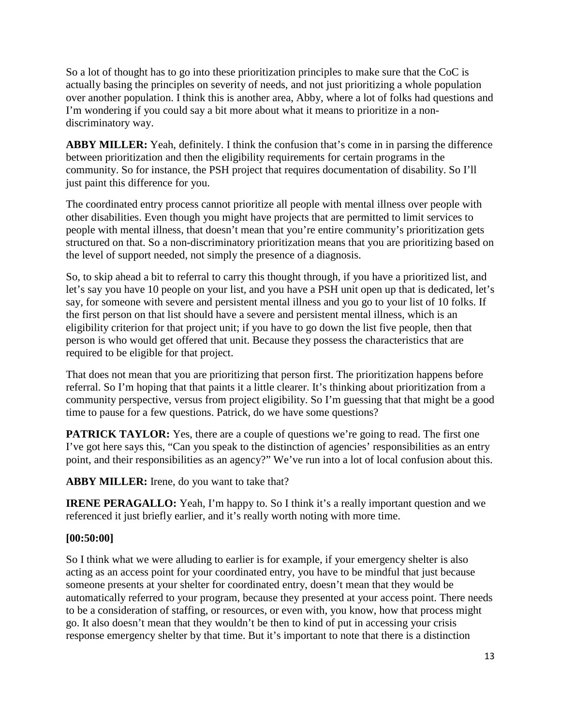So a lot of thought has to go into these prioritization principles to make sure that the CoC is actually basing the principles on severity of needs, and not just prioritizing a whole population over another population. I think this is another area, Abby, where a lot of folks had questions and I'm wondering if you could say a bit more about what it means to prioritize in a nondiscriminatory way.

**ABBY MILLER:** Yeah, definitely. I think the confusion that's come in in parsing the difference between prioritization and then the eligibility requirements for certain programs in the community. So for instance, the PSH project that requires documentation of disability. So I'll just paint this difference for you.

The coordinated entry process cannot prioritize all people with mental illness over people with other disabilities. Even though you might have projects that are permitted to limit services to people with mental illness, that doesn't mean that you're entire community's prioritization gets structured on that. So a non-discriminatory prioritization means that you are prioritizing based on the level of support needed, not simply the presence of a diagnosis.

So, to skip ahead a bit to referral to carry this thought through, if you have a prioritized list, and let's say you have 10 people on your list, and you have a PSH unit open up that is dedicated, let's say, for someone with severe and persistent mental illness and you go to your list of 10 folks. If the first person on that list should have a severe and persistent mental illness, which is an eligibility criterion for that project unit; if you have to go down the list five people, then that person is who would get offered that unit. Because they possess the characteristics that are required to be eligible for that project.

That does not mean that you are prioritizing that person first. The prioritization happens before referral. So I'm hoping that that paints it a little clearer. It's thinking about prioritization from a community perspective, versus from project eligibility. So I'm guessing that that might be a good time to pause for a few questions. Patrick, do we have some questions?

**PATRICK TAYLOR:** Yes, there are a couple of questions we're going to read. The first one I've got here says this, "Can you speak to the distinction of agencies' responsibilities as an entry point, and their responsibilities as an agency?" We've run into a lot of local confusion about this.

ABBY MILLER: Irene, do you want to take that?

**IRENE PERAGALLO:** Yeah, I'm happy to. So I think it's a really important question and we referenced it just briefly earlier, and it's really worth noting with more time.

## **[00:50:00]**

So I think what we were alluding to earlier is for example, if your emergency shelter is also acting as an access point for your coordinated entry, you have to be mindful that just because someone presents at your shelter for coordinated entry, doesn't mean that they would be automatically referred to your program, because they presented at your access point. There needs to be a consideration of staffing, or resources, or even with, you know, how that process might go. It also doesn't mean that they wouldn't be then to kind of put in accessing your crisis response emergency shelter by that time. But it's important to note that there is a distinction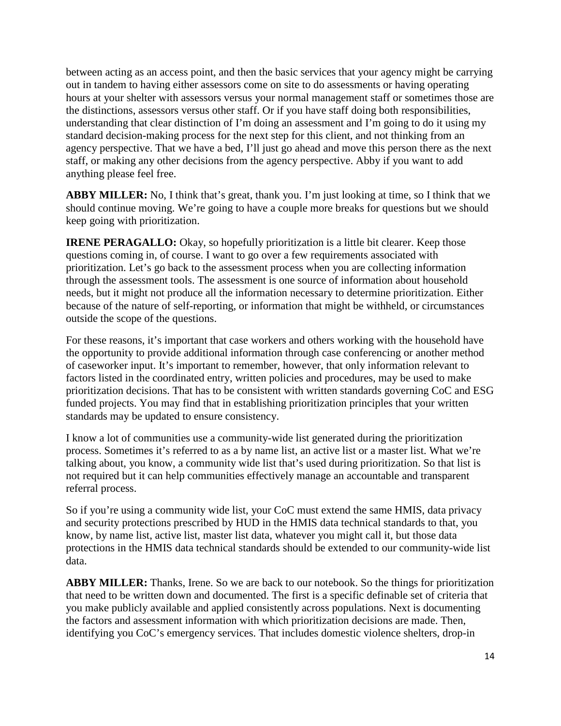between acting as an access point, and then the basic services that your agency might be carrying out in tandem to having either assessors come on site to do assessments or having operating hours at your shelter with assessors versus your normal management staff or sometimes those are the distinctions, assessors versus other staff. Or if you have staff doing both responsibilities, understanding that clear distinction of I'm doing an assessment and I'm going to do it using my standard decision-making process for the next step for this client, and not thinking from an agency perspective. That we have a bed, I'll just go ahead and move this person there as the next staff, or making any other decisions from the agency perspective. Abby if you want to add anything please feel free.

**ABBY MILLER:** No, I think that's great, thank you. I'm just looking at time, so I think that we should continue moving. We're going to have a couple more breaks for questions but we should keep going with prioritization.

**IRENE PERAGALLO:** Okay, so hopefully prioritization is a little bit clearer. Keep those questions coming in, of course. I want to go over a few requirements associated with prioritization. Let's go back to the assessment process when you are collecting information through the assessment tools. The assessment is one source of information about household needs, but it might not produce all the information necessary to determine prioritization. Either because of the nature of self-reporting, or information that might be withheld, or circumstances outside the scope of the questions.

For these reasons, it's important that case workers and others working with the household have the opportunity to provide additional information through case conferencing or another method of caseworker input. It's important to remember, however, that only information relevant to factors listed in the coordinated entry, written policies and procedures, may be used to make prioritization decisions. That has to be consistent with written standards governing CoC and ESG funded projects. You may find that in establishing prioritization principles that your written standards may be updated to ensure consistency.

I know a lot of communities use a community-wide list generated during the prioritization process. Sometimes it's referred to as a by name list, an active list or a master list. What we're talking about, you know, a community wide list that's used during prioritization. So that list is not required but it can help communities effectively manage an accountable and transparent referral process.

So if you're using a community wide list, your CoC must extend the same HMIS, data privacy and security protections prescribed by HUD in the HMIS data technical standards to that, you know, by name list, active list, master list data, whatever you might call it, but those data protections in the HMIS data technical standards should be extended to our community-wide list data.

**ABBY MILLER:** Thanks, Irene. So we are back to our notebook. So the things for prioritization that need to be written down and documented. The first is a specific definable set of criteria that you make publicly available and applied consistently across populations. Next is documenting the factors and assessment information with which prioritization decisions are made. Then, identifying you CoC's emergency services. That includes domestic violence shelters, drop-in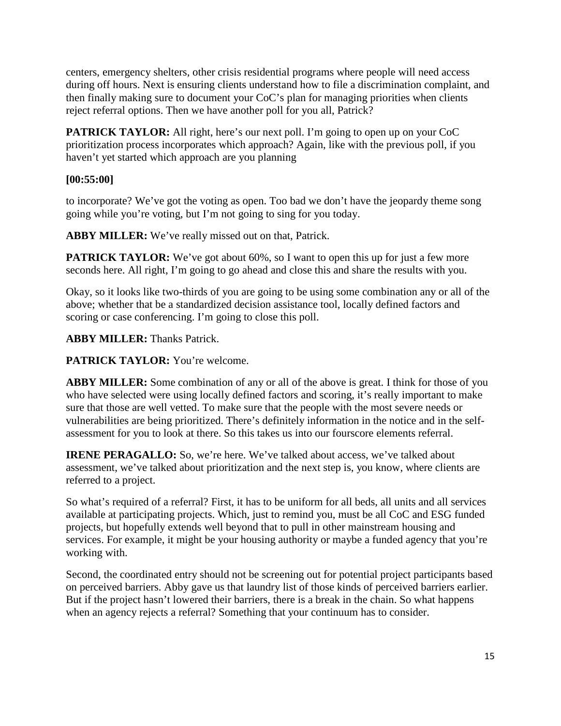centers, emergency shelters, other crisis residential programs where people will need access during off hours. Next is ensuring clients understand how to file a discrimination complaint, and then finally making sure to document your CoC's plan for managing priorities when clients reject referral options. Then we have another poll for you all, Patrick?

**PATRICK TAYLOR:** All right, here's our next poll. I'm going to open up on your CoC prioritization process incorporates which approach? Again, like with the previous poll, if you haven't yet started which approach are you planning

## **[00:55:00]**

to incorporate? We've got the voting as open. Too bad we don't have the jeopardy theme song going while you're voting, but I'm not going to sing for you today.

**ABBY MILLER:** We've really missed out on that, Patrick.

**PATRICK TAYLOR:** We've got about 60%, so I want to open this up for just a few more seconds here. All right, I'm going to go ahead and close this and share the results with you.

Okay, so it looks like two-thirds of you are going to be using some combination any or all of the above; whether that be a standardized decision assistance tool, locally defined factors and scoring or case conferencing. I'm going to close this poll.

**ABBY MILLER:** Thanks Patrick.

**PATRICK TAYLOR:** You're welcome.

**ABBY MILLER:** Some combination of any or all of the above is great. I think for those of you who have selected were using locally defined factors and scoring, it's really important to make sure that those are well vetted. To make sure that the people with the most severe needs or vulnerabilities are being prioritized. There's definitely information in the notice and in the selfassessment for you to look at there. So this takes us into our fourscore elements referral.

**IRENE PERAGALLO:** So, we're here. We've talked about access, we've talked about assessment, we've talked about prioritization and the next step is, you know, where clients are referred to a project.

So what's required of a referral? First, it has to be uniform for all beds, all units and all services available at participating projects. Which, just to remind you, must be all CoC and ESG funded projects, but hopefully extends well beyond that to pull in other mainstream housing and services. For example, it might be your housing authority or maybe a funded agency that you're working with.

Second, the coordinated entry should not be screening out for potential project participants based on perceived barriers. Abby gave us that laundry list of those kinds of perceived barriers earlier. But if the project hasn't lowered their barriers, there is a break in the chain. So what happens when an agency rejects a referral? Something that your continuum has to consider.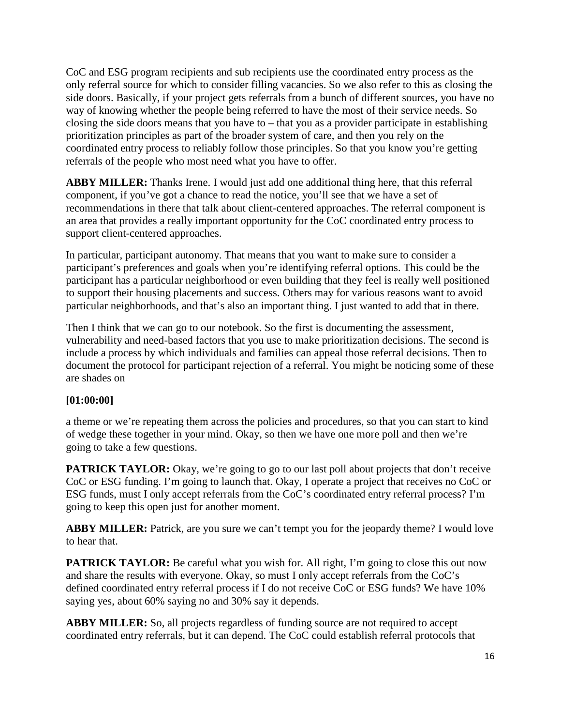CoC and ESG program recipients and sub recipients use the coordinated entry process as the only referral source for which to consider filling vacancies. So we also refer to this as closing the side doors. Basically, if your project gets referrals from a bunch of different sources, you have no way of knowing whether the people being referred to have the most of their service needs. So closing the side doors means that you have to  $-$  that you as a provider participate in establishing prioritization principles as part of the broader system of care, and then you rely on the coordinated entry process to reliably follow those principles. So that you know you're getting referrals of the people who most need what you have to offer.

**ABBY MILLER:** Thanks Irene. I would just add one additional thing here, that this referral component, if you've got a chance to read the notice, you'll see that we have a set of recommendations in there that talk about client-centered approaches. The referral component is an area that provides a really important opportunity for the CoC coordinated entry process to support client-centered approaches.

In particular, participant autonomy. That means that you want to make sure to consider a participant's preferences and goals when you're identifying referral options. This could be the participant has a particular neighborhood or even building that they feel is really well positioned to support their housing placements and success. Others may for various reasons want to avoid particular neighborhoods, and that's also an important thing. I just wanted to add that in there.

Then I think that we can go to our notebook. So the first is documenting the assessment, vulnerability and need-based factors that you use to make prioritization decisions. The second is include a process by which individuals and families can appeal those referral decisions. Then to document the protocol for participant rejection of a referral. You might be noticing some of these are shades on

#### **[01:00:00]**

a theme or we're repeating them across the policies and procedures, so that you can start to kind of wedge these together in your mind. Okay, so then we have one more poll and then we're going to take a few questions.

**PATRICK TAYLOR:** Okay, we're going to go to our last poll about projects that don't receive CoC or ESG funding. I'm going to launch that. Okay, I operate a project that receives no CoC or ESG funds, must I only accept referrals from the CoC's coordinated entry referral process? I'm going to keep this open just for another moment.

ABBY MILLER: Patrick, are you sure we can't tempt you for the jeopardy theme? I would love to hear that.

**PATRICK TAYLOR:** Be careful what you wish for. All right, I'm going to close this out now and share the results with everyone. Okay, so must I only accept referrals from the CoC's defined coordinated entry referral process if I do not receive CoC or ESG funds? We have 10% saying yes, about 60% saying no and 30% say it depends.

**ABBY MILLER:** So, all projects regardless of funding source are not required to accept coordinated entry referrals, but it can depend. The CoC could establish referral protocols that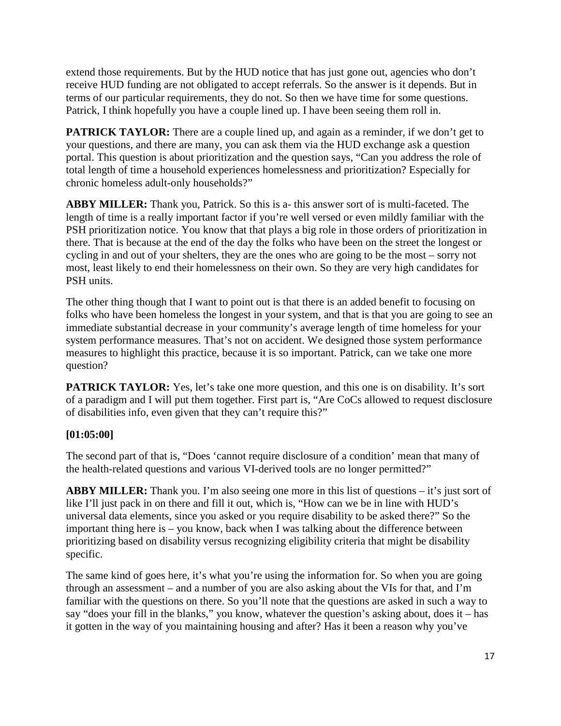extend those requirements. But by the HUD notice that has just gone out, agencies who don't receive HUD funding are not obligated to accept referrals. So the answer is it depends. But in terms of our particular requirements, they do not. So then we have time for some questions. Patrick, I think hopefully you have a couple lined up. I have been seeing them roll in.

**PATRICK TAYLOR:** There are a couple lined up, and again as a reminder, if we don't get to your questions, and there are many, you can ask them via the HUD exchange ask a question portal. This question is about prioritization and the question says, "Can you address the role of total length of time a household experiences homelessness and prioritization? Especially for chronic homeless adult-only households?"

**ABBY MILLER:** Thank you, Patrick. So this is a- this answer sort of is multi-faceted. The length of time is a really important factor if you're well versed or even mildly familiar with the PSH prioritization notice. You know that that plays a big role in those orders of prioritization in there. That is because at the end of the day the folks who have been on the street the longest or cycling in and out of your shelters, they are the ones who are going to be the most – sorry not most, least likely to end their homelessness on their own. So they are very high candidates for PSH units.

The other thing though that I want to point out is that there is an added benefit to focusing on folks who have been homeless the longest in your system, and that is that you are going to see an immediate substantial decrease in your community's average length of time homeless for your system performance measures. That's not on accident. We designed those system performance measures to highlight this practice, because it is so important. Patrick, can we take one more question?

**PATRICK TAYLOR:** Yes, let's take one more question, and this one is on disability. It's sort of a paradigm and I will put them together. First part is, "Are CoCs allowed to request disclosure of disabilities info, even given that they can't require this?"

#### **[01:05:00]**

The second part of that is, "Does 'cannot require disclosure of a condition' mean that many of the health-related questions and various VI-derived tools are no longer permitted?"

**ABBY MILLER:** Thank you. I'm also seeing one more in this list of questions – it's just sort of like I'll just pack in on there and fill it out, which is, "How can we be in line with HUD's universal data elements, since you asked or you require disability to be asked there?" So the important thing here is – you know, back when I was talking about the difference between prioritizing based on disability versus recognizing eligibility criteria that might be disability specific.

The same kind of goes here, it's what you're using the information for. So when you are going through an assessment – and a number of you are also asking about the VIs for that, and I'm familiar with the questions on there. So you'll note that the questions are asked in such a way to say "does your fill in the blanks," you know, whatever the question's asking about, does it – has it gotten in the way of you maintaining housing and after? Has it been a reason why you've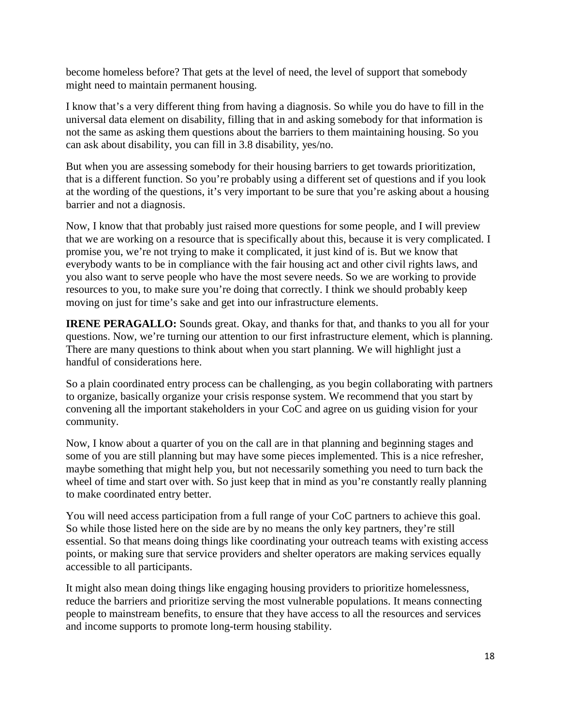become homeless before? That gets at the level of need, the level of support that somebody might need to maintain permanent housing.

I know that's a very different thing from having a diagnosis. So while you do have to fill in the universal data element on disability, filling that in and asking somebody for that information is not the same as asking them questions about the barriers to them maintaining housing. So you can ask about disability, you can fill in 3.8 disability, yes/no.

But when you are assessing somebody for their housing barriers to get towards prioritization, that is a different function. So you're probably using a different set of questions and if you look at the wording of the questions, it's very important to be sure that you're asking about a housing barrier and not a diagnosis.

Now, I know that that probably just raised more questions for some people, and I will preview that we are working on a resource that is specifically about this, because it is very complicated. I promise you, we're not trying to make it complicated, it just kind of is. But we know that everybody wants to be in compliance with the fair housing act and other civil rights laws, and you also want to serve people who have the most severe needs. So we are working to provide resources to you, to make sure you're doing that correctly. I think we should probably keep moving on just for time's sake and get into our infrastructure elements.

**IRENE PERAGALLO:** Sounds great. Okay, and thanks for that, and thanks to you all for your questions. Now, we're turning our attention to our first infrastructure element, which is planning. There are many questions to think about when you start planning. We will highlight just a handful of considerations here.

So a plain coordinated entry process can be challenging, as you begin collaborating with partners to organize, basically organize your crisis response system. We recommend that you start by convening all the important stakeholders in your CoC and agree on us guiding vision for your community.

Now, I know about a quarter of you on the call are in that planning and beginning stages and some of you are still planning but may have some pieces implemented. This is a nice refresher, maybe something that might help you, but not necessarily something you need to turn back the wheel of time and start over with. So just keep that in mind as you're constantly really planning to make coordinated entry better.

You will need access participation from a full range of your CoC partners to achieve this goal. So while those listed here on the side are by no means the only key partners, they're still essential. So that means doing things like coordinating your outreach teams with existing access points, or making sure that service providers and shelter operators are making services equally accessible to all participants.

It might also mean doing things like engaging housing providers to prioritize homelessness, reduce the barriers and prioritize serving the most vulnerable populations. It means connecting people to mainstream benefits, to ensure that they have access to all the resources and services and income supports to promote long-term housing stability.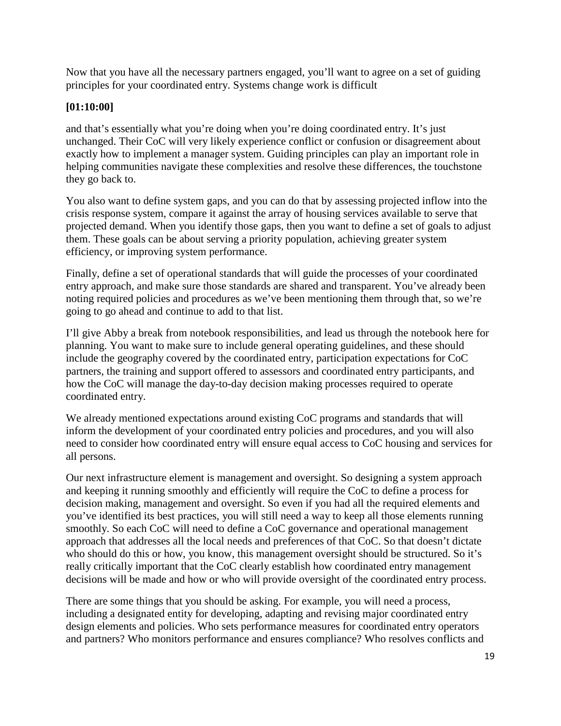Now that you have all the necessary partners engaged, you'll want to agree on a set of guiding principles for your coordinated entry. Systems change work is difficult

## **[01:10:00]**

and that's essentially what you're doing when you're doing coordinated entry. It's just unchanged. Their CoC will very likely experience conflict or confusion or disagreement about exactly how to implement a manager system. Guiding principles can play an important role in helping communities navigate these complexities and resolve these differences, the touchstone they go back to.

You also want to define system gaps, and you can do that by assessing projected inflow into the crisis response system, compare it against the array of housing services available to serve that projected demand. When you identify those gaps, then you want to define a set of goals to adjust them. These goals can be about serving a priority population, achieving greater system efficiency, or improving system performance.

Finally, define a set of operational standards that will guide the processes of your coordinated entry approach, and make sure those standards are shared and transparent. You've already been noting required policies and procedures as we've been mentioning them through that, so we're going to go ahead and continue to add to that list.

I'll give Abby a break from notebook responsibilities, and lead us through the notebook here for planning. You want to make sure to include general operating guidelines, and these should include the geography covered by the coordinated entry, participation expectations for CoC partners, the training and support offered to assessors and coordinated entry participants, and how the CoC will manage the day-to-day decision making processes required to operate coordinated entry.

We already mentioned expectations around existing CoC programs and standards that will inform the development of your coordinated entry policies and procedures, and you will also need to consider how coordinated entry will ensure equal access to CoC housing and services for all persons.

Our next infrastructure element is management and oversight. So designing a system approach and keeping it running smoothly and efficiently will require the CoC to define a process for decision making, management and oversight. So even if you had all the required elements and you've identified its best practices, you will still need a way to keep all those elements running smoothly. So each CoC will need to define a CoC governance and operational management approach that addresses all the local needs and preferences of that CoC. So that doesn't dictate who should do this or how, you know, this management oversight should be structured. So it's really critically important that the CoC clearly establish how coordinated entry management decisions will be made and how or who will provide oversight of the coordinated entry process.

There are some things that you should be asking. For example, you will need a process, including a designated entity for developing, adapting and revising major coordinated entry design elements and policies. Who sets performance measures for coordinated entry operators and partners? Who monitors performance and ensures compliance? Who resolves conflicts and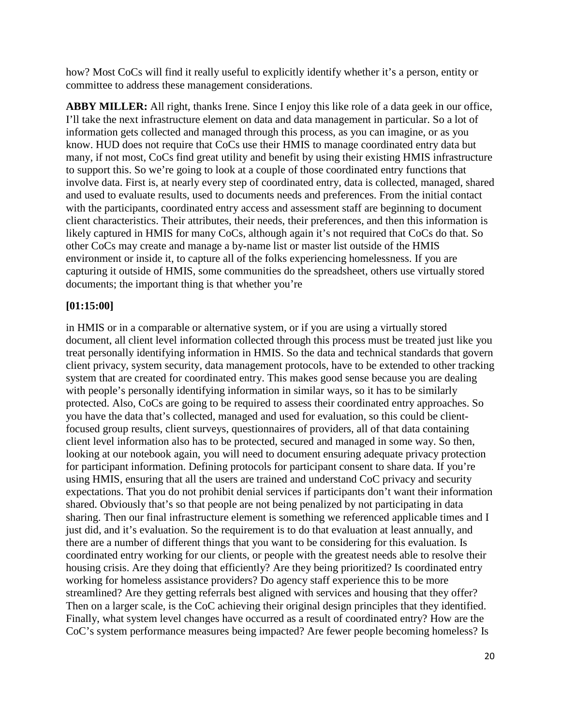how? Most CoCs will find it really useful to explicitly identify whether it's a person, entity or committee to address these management considerations.

**ABBY MILLER:** All right, thanks Irene. Since I enjoy this like role of a data geek in our office, I'll take the next infrastructure element on data and data management in particular. So a lot of information gets collected and managed through this process, as you can imagine, or as you know. HUD does not require that CoCs use their HMIS to manage coordinated entry data but many, if not most, CoCs find great utility and benefit by using their existing HMIS infrastructure to support this. So we're going to look at a couple of those coordinated entry functions that involve data. First is, at nearly every step of coordinated entry, data is collected, managed, shared and used to evaluate results, used to documents needs and preferences. From the initial contact with the participants, coordinated entry access and assessment staff are beginning to document client characteristics. Their attributes, their needs, their preferences, and then this information is likely captured in HMIS for many CoCs, although again it's not required that CoCs do that. So other CoCs may create and manage a by-name list or master list outside of the HMIS environment or inside it, to capture all of the folks experiencing homelessness. If you are capturing it outside of HMIS, some communities do the spreadsheet, others use virtually stored documents; the important thing is that whether you're

#### **[01:15:00]**

in HMIS or in a comparable or alternative system, or if you are using a virtually stored document, all client level information collected through this process must be treated just like you treat personally identifying information in HMIS. So the data and technical standards that govern client privacy, system security, data management protocols, have to be extended to other tracking system that are created for coordinated entry. This makes good sense because you are dealing with people's personally identifying information in similar ways, so it has to be similarly protected. Also, CoCs are going to be required to assess their coordinated entry approaches. So you have the data that's collected, managed and used for evaluation, so this could be clientfocused group results, client surveys, questionnaires of providers, all of that data containing client level information also has to be protected, secured and managed in some way. So then, looking at our notebook again, you will need to document ensuring adequate privacy protection for participant information. Defining protocols for participant consent to share data. If you're using HMIS, ensuring that all the users are trained and understand CoC privacy and security expectations. That you do not prohibit denial services if participants don't want their information shared. Obviously that's so that people are not being penalized by not participating in data sharing. Then our final infrastructure element is something we referenced applicable times and I just did, and it's evaluation. So the requirement is to do that evaluation at least annually, and there are a number of different things that you want to be considering for this evaluation. Is coordinated entry working for our clients, or people with the greatest needs able to resolve their housing crisis. Are they doing that efficiently? Are they being prioritized? Is coordinated entry working for homeless assistance providers? Do agency staff experience this to be more streamlined? Are they getting referrals best aligned with services and housing that they offer? Then on a larger scale, is the CoC achieving their original design principles that they identified. Finally, what system level changes have occurred as a result of coordinated entry? How are the CoC's system performance measures being impacted? Are fewer people becoming homeless? Is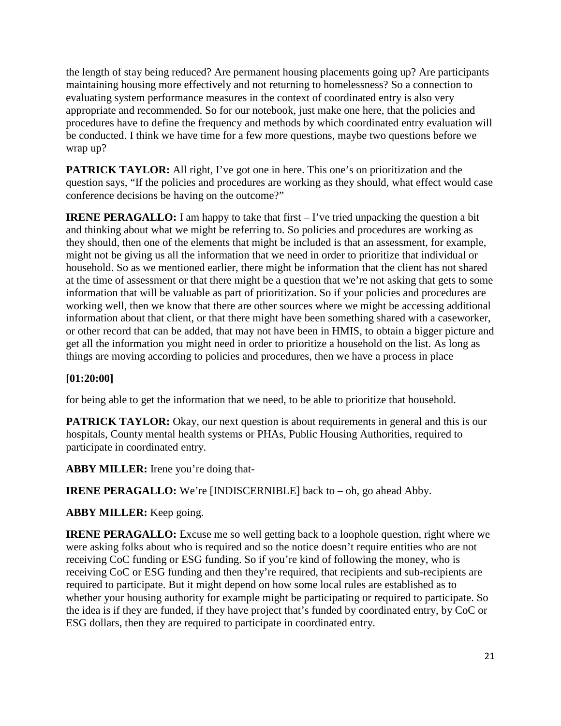the length of stay being reduced? Are permanent housing placements going up? Are participants maintaining housing more effectively and not returning to homelessness? So a connection to evaluating system performance measures in the context of coordinated entry is also very appropriate and recommended. So for our notebook, just make one here, that the policies and procedures have to define the frequency and methods by which coordinated entry evaluation will be conducted. I think we have time for a few more questions, maybe two questions before we wrap up?

**PATRICK TAYLOR:** All right, I've got one in here. This one's on prioritization and the question says, "If the policies and procedures are working as they should, what effect would case conference decisions be having on the outcome?"

**IRENE PERAGALLO:** I am happy to take that first – I've tried unpacking the question a bit and thinking about what we might be referring to. So policies and procedures are working as they should, then one of the elements that might be included is that an assessment, for example, might not be giving us all the information that we need in order to prioritize that individual or household. So as we mentioned earlier, there might be information that the client has not shared at the time of assessment or that there might be a question that we're not asking that gets to some information that will be valuable as part of prioritization. So if your policies and procedures are working well, then we know that there are other sources where we might be accessing additional information about that client, or that there might have been something shared with a caseworker, or other record that can be added, that may not have been in HMIS, to obtain a bigger picture and get all the information you might need in order to prioritize a household on the list. As long as things are moving according to policies and procedures, then we have a process in place

#### **[01:20:00]**

for being able to get the information that we need, to be able to prioritize that household.

**PATRICK TAYLOR:** Okay, our next question is about requirements in general and this is our hospitals, County mental health systems or PHAs, Public Housing Authorities, required to participate in coordinated entry.

**ABBY MILLER:** Irene you're doing that-

**IRENE PERAGALLO:** We're [INDISCERNIBLE] back to – oh, go ahead Abby.

#### **ABBY MILLER:** Keep going.

**IRENE PERAGALLO:** Excuse me so well getting back to a loophole question, right where we were asking folks about who is required and so the notice doesn't require entities who are not receiving CoC funding or ESG funding. So if you're kind of following the money, who is receiving CoC or ESG funding and then they're required, that recipients and sub-recipients are required to participate. But it might depend on how some local rules are established as to whether your housing authority for example might be participating or required to participate. So the idea is if they are funded, if they have project that's funded by coordinated entry, by CoC or ESG dollars, then they are required to participate in coordinated entry.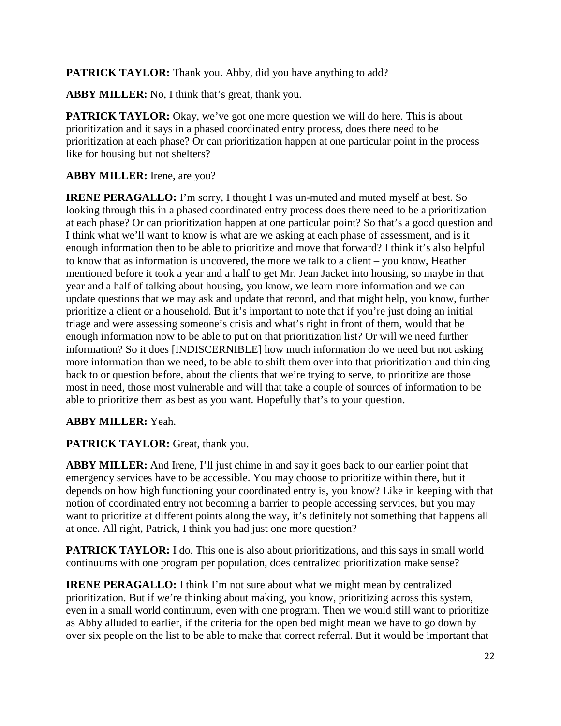**PATRICK TAYLOR:** Thank you. Abby, did you have anything to add?

**ABBY MILLER:** No, I think that's great, thank you.

**PATRICK TAYLOR:** Okay, we've got one more question we will do here. This is about prioritization and it says in a phased coordinated entry process, does there need to be prioritization at each phase? Or can prioritization happen at one particular point in the process like for housing but not shelters?

## **ABBY MILLER:** Irene, are you?

**IRENE PERAGALLO:** I'm sorry, I thought I was un-muted and muted myself at best. So looking through this in a phased coordinated entry process does there need to be a prioritization at each phase? Or can prioritization happen at one particular point? So that's a good question and I think what we'll want to know is what are we asking at each phase of assessment, and is it enough information then to be able to prioritize and move that forward? I think it's also helpful to know that as information is uncovered, the more we talk to a client – you know, Heather mentioned before it took a year and a half to get Mr. Jean Jacket into housing, so maybe in that year and a half of talking about housing, you know, we learn more information and we can update questions that we may ask and update that record, and that might help, you know, further prioritize a client or a household. But it's important to note that if you're just doing an initial triage and were assessing someone's crisis and what's right in front of them, would that be enough information now to be able to put on that prioritization list? Or will we need further information? So it does [INDISCERNIBLE] how much information do we need but not asking more information than we need, to be able to shift them over into that prioritization and thinking back to or question before, about the clients that we're trying to serve, to prioritize are those most in need, those most vulnerable and will that take a couple of sources of information to be able to prioritize them as best as you want. Hopefully that's to your question.

## **ABBY MILLER:** Yeah.

#### **PATRICK TAYLOR:** Great, thank you.

**ABBY MILLER:** And Irene, I'll just chime in and say it goes back to our earlier point that emergency services have to be accessible. You may choose to prioritize within there, but it depends on how high functioning your coordinated entry is, you know? Like in keeping with that notion of coordinated entry not becoming a barrier to people accessing services, but you may want to prioritize at different points along the way, it's definitely not something that happens all at once. All right, Patrick, I think you had just one more question?

**PATRICK TAYLOR:** I do. This one is also about prioritizations, and this says in small world continuums with one program per population, does centralized prioritization make sense?

**IRENE PERAGALLO:** I think I'm not sure about what we might mean by centralized prioritization. But if we're thinking about making, you know, prioritizing across this system, even in a small world continuum, even with one program. Then we would still want to prioritize as Abby alluded to earlier, if the criteria for the open bed might mean we have to go down by over six people on the list to be able to make that correct referral. But it would be important that